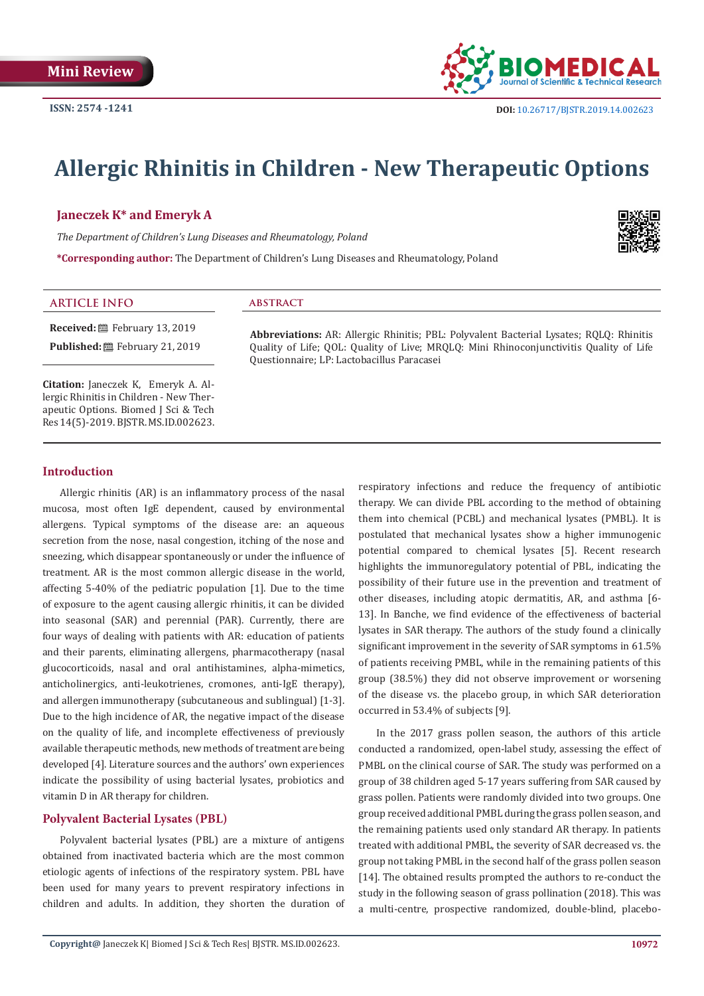

# **Allergic Rhinitis in Children - New Therapeutic Options**

Questionnaire; LP: Lactobacillus Paracasei

# **Janeczek K\* and Emeryk A**

*The Department of Children's Lung Diseases and Rheumatology, Poland*

**\*Corresponding author:** The Department of Children's Lung Diseases and Rheumatology, Poland



#### **ARTICLE INFO abstract**

**Received:** February 13, 2019 Published: **■**February 21, 2019

**Citation:** Janeczek K, Emeryk A. Allergic Rhinitis in Children - New Therapeutic Options. Biomed J Sci & Tech Res 14(5)-2019. BJSTR. MS.ID.002623.

#### **Introduction**

Allergic rhinitis (AR) is an inflammatory process of the nasal mucosa, most often IgE dependent, caused by environmental allergens. Typical symptoms of the disease are: an aqueous secretion from the nose, nasal congestion, itching of the nose and sneezing, which disappear spontaneously or under the influence of treatment. AR is the most common allergic disease in the world, affecting 5-40% of the pediatric population [1]. Due to the time of exposure to the agent causing allergic rhinitis, it can be divided into seasonal (SAR) and perennial (PAR). Currently, there are four ways of dealing with patients with AR: education of patients and their parents, eliminating allergens, pharmacotherapy (nasal glucocorticoids, nasal and oral antihistamines, alpha-mimetics, anticholinergics, anti-leukotrienes, cromones, anti-IgE therapy), and allergen immunotherapy (subcutaneous and sublingual) [1-3]. Due to the high incidence of AR, the negative impact of the disease on the quality of life, and incomplete effectiveness of previously available therapeutic methods, new methods of treatment are being developed [4]. Literature sources and the authors' own experiences indicate the possibility of using bacterial lysates, probiotics and vitamin D in AR therapy for children.

# **Polyvalent Bacterial Lysates (PBL)**

Polyvalent bacterial lysates (PBL) are a mixture of antigens obtained from inactivated bacteria which are the most common etiologic agents of infections of the respiratory system. PBL have been used for many years to prevent respiratory infections in children and adults. In addition, they shorten the duration of

respiratory infections and reduce the frequency of antibiotic therapy. We can divide PBL according to the method of obtaining them into chemical (PCBL) and mechanical lysates (PMBL). It is postulated that mechanical lysates show a higher immunogenic potential compared to chemical lysates [5]. Recent research highlights the immunoregulatory potential of PBL, indicating the possibility of their future use in the prevention and treatment of other diseases, including atopic dermatitis, AR, and asthma [6- 13]. In Banche, we find evidence of the effectiveness of bacterial lysates in SAR therapy. The authors of the study found a clinically significant improvement in the severity of SAR symptoms in 61.5% of patients receiving PMBL, while in the remaining patients of this group (38.5%) they did not observe improvement or worsening of the disease vs. the placebo group, in which SAR deterioration occurred in 53.4% of subjects [9].

**Abbreviations:** AR: Allergic Rhinitis; PBL: Polyvalent Bacterial Lysates; RQLQ: Rhinitis Quality of Life; QOL: Quality of Live; MRQLQ: Mini Rhinoconjunctivitis Quality of Life

> In the 2017 grass pollen season, the authors of this article conducted a randomized, open-label study, assessing the effect of PMBL on the clinical course of SAR. The study was performed on a group of 38 children aged 5-17 years suffering from SAR caused by grass pollen. Patients were randomly divided into two groups. One group received additional PMBL during the grass pollen season, and the remaining patients used only standard AR therapy. In patients treated with additional PMBL, the severity of SAR decreased vs. the group not taking PMBL in the second half of the grass pollen season [14]. The obtained results prompted the authors to re-conduct the study in the following season of grass pollination (2018). This was a multi-centre, prospective randomized, double-blind, placebo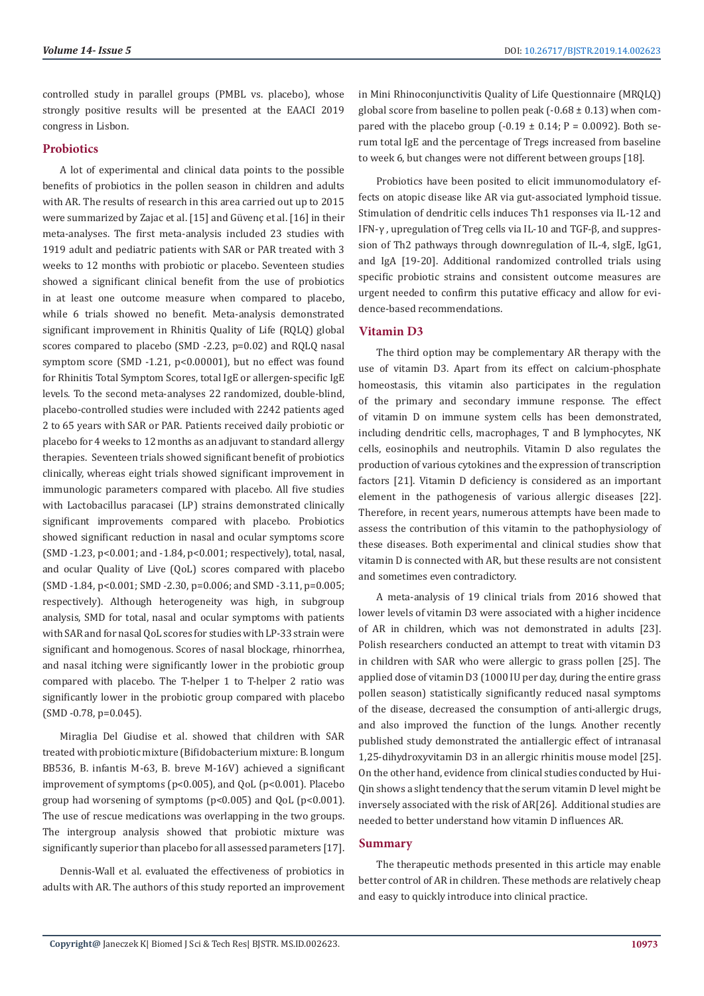controlled study in parallel groups (PMBL vs. placebo), whose strongly positive results will be presented at the EAACI 2019 congress in Lisbon.

# **Probiotics**

A lot of experimental and clinical data points to the possible benefits of probiotics in the pollen season in children and adults with AR. The results of research in this area carried out up to 2015 were summarized by Zajac et al. [15] and Güvenç et al. [16] in their meta-analyses. The first meta-analysis included 23 studies with 1919 adult and pediatric patients with SAR or PAR treated with 3 weeks to 12 months with probiotic or placebo. Seventeen studies showed a significant clinical benefit from the use of probiotics in at least one outcome measure when compared to placebo, while 6 trials showed no benefit. Meta-analysis demonstrated significant improvement in Rhinitis Quality of Life (RQLQ) global scores compared to placebo (SMD -2.23, p=0.02) and RQLQ nasal symptom score (SMD -1.21, p<0.00001), but no effect was found for Rhinitis Total Symptom Scores, total IgE or allergen-specific IgE levels. To the second meta-analyses 22 randomized, double-blind, placebo-controlled studies were included with 2242 patients aged 2 to 65 years with SAR or PAR. Patients received daily probiotic or placebo for 4 weeks to 12 months as an adjuvant to standard allergy therapies. Seventeen trials showed significant benefit of probiotics clinically, whereas eight trials showed significant improvement in immunologic parameters compared with placebo. All five studies with Lactobacillus paracasei (LP) strains demonstrated clinically significant improvements compared with placebo. Probiotics showed significant reduction in nasal and ocular symptoms score (SMD -1.23, p<0.001; and -1.84, p<0.001; respectively), total, nasal, and ocular Quality of Live (QoL) scores compared with placebo (SMD -1.84, p<0.001; SMD -2.30, p=0.006; and SMD -3.11, p=0.005; respectively). Although heterogeneity was high, in subgroup analysis, SMD for total, nasal and ocular symptoms with patients with SAR and for nasal QoL scores for studies with LP-33 strain were significant and homogenous. Scores of nasal blockage, rhinorrhea, and nasal itching were significantly lower in the probiotic group compared with placebo. The T-helper 1 to T-helper 2 ratio was significantly lower in the probiotic group compared with placebo (SMD -0.78, p=0.045).

Miraglia Del Giudise et al. showed that children with SAR treated with probiotic mixture (Bifidobacterium mixture: B. longum BB536, B. infantis M-63, B. breve M-16V) achieved a significant improvement of symptoms (p<0.005), and QoL (p<0.001). Placebo group had worsening of symptoms (p<0.005) and QoL (p<0.001). The use of rescue medications was overlapping in the two groups. The intergroup analysis showed that probiotic mixture was significantly superior than placebo for all assessed parameters [17].

Dennis-Wall et al. evaluated the effectiveness of probiotics in adults with AR. The authors of this study reported an improvement

in Mini Rhinoconjunctivitis Quality of Life Questionnaire (MRQLQ) global score from baseline to pollen peak (-0.68  $\pm$  0.13) when compared with the placebo group  $(-0.19 \pm 0.14; P = 0.0092)$ . Both serum total IgE and the percentage of Tregs increased from baseline to week 6, but changes were not different between groups [18].

Probiotics have been posited to elicit immunomodulatory effects on atopic disease like AR via gut-associated lymphoid tissue. Stimulation of dendritic cells induces Th1 responses via IL-12 and IFN-γ , upregulation of Treg cells via IL-10 and TGF-β, and suppression of Th2 pathways through downregulation of IL-4, sIgE, IgG1, and IgA [19-20]. Additional randomized controlled trials using specific probiotic strains and consistent outcome measures are urgent needed to confirm this putative efficacy and allow for evidence-based recommendations.

# **Vitamin D3**

The third option may be complementary AR therapy with the use of vitamin D3. Apart from its effect on calcium-phosphate homeostasis, this vitamin also participates in the regulation of the primary and secondary immune response. The effect of vitamin D on immune system cells has been demonstrated, including dendritic cells, macrophages, T and B lymphocytes, NK cells, eosinophils and neutrophils. Vitamin D also regulates the production of various cytokines and the expression of transcription factors [21]. Vitamin D deficiency is considered as an important element in the pathogenesis of various allergic diseases [22]. Therefore, in recent years, numerous attempts have been made to assess the contribution of this vitamin to the pathophysiology of these diseases. Both experimental and clinical studies show that vitamin D is connected with AR, but these results are not consistent and sometimes even contradictory.

A meta-analysis of 19 clinical trials from 2016 showed that lower levels of vitamin D3 were associated with a higher incidence of AR in children, which was not demonstrated in adults [23]. Polish researchers conducted an attempt to treat with vitamin D3 in children with SAR who were allergic to grass pollen [25]. The applied dose of vitamin D3 (1000 IU per day, during the entire grass pollen season) statistically significantly reduced nasal symptoms of the disease, decreased the consumption of anti-allergic drugs, and also improved the function of the lungs. Another recently published study demonstrated the antiallergic effect of intranasal 1,25-dihydroxyvitamin D3 in an allergic rhinitis mouse model [25]. On the other hand, evidence from clinical studies conducted by Hui-Qin shows a slight tendency that the serum vitamin D level might be inversely associated with the risk of AR[26]. Additional studies are needed to better understand how vitamin D influences AR.

# **Summary**

The therapeutic methods presented in this article may enable better control of AR in children. These methods are relatively cheap and easy to quickly introduce into clinical practice.